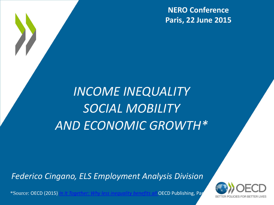**NERO Conference Paris, 22 June 2015**

### *INCOME INEQUALITY SOCIAL MOBILITY AND ECONOMIC GROWTH\**

*Federico Cingano, ELS Employment Analysis Division*

\*Source: OECD (2015) *[In It Together: Why less inequality benefits all](http://dx.doi.org/10.1787/9789264235120-en)* OECD Publishing, Paris.

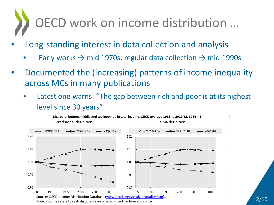## OECD work on income distribution …

- Long-standing interest in data collection and analysis
	- Early works  $\rightarrow$  mid 1970s; regular data collection  $\rightarrow$  mid 1990s
- Documented the (increasing) patterns of income inequality across MCs in many publications
	- Latest one warns: "The gap between rich and poor is at its highest level since 30 years"

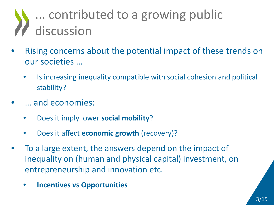### ... contributed to a growing public discussion

- Rising concerns about the potential impact of these trends on our societies …
	- Is increasing inequality compatible with social cohesion and political stability?
	- … and economies:
		- Does it imply lower **social mobility**?
		- Does it affect **economic growth** (recovery)?
- To a large extent, the answers depend on the impact of inequality on (human and physical capital) investment, on entrepreneurship and innovation etc.
	- **Incentives vs Opportunities**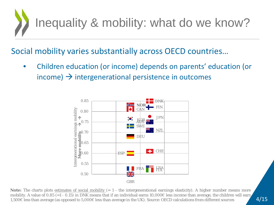

#### Social mobility varies substantially across OECD countries…

• Children education (or income) depends on parents' education (or income)  $\rightarrow$  intergenerational persistence in outcomes



**Note:** The charts plots estimates of social mobility (= 1 - the intergenerational earnings elasticity). A higher number means more mobility. A value of 0.85 (=1 - 0.15) in DNK means that if an individual earns 10,000 less income than average, the children will earn 1,500€ less than average (as opposed to 5,000€ less than average in the UK). Source: OECD calculations from different sources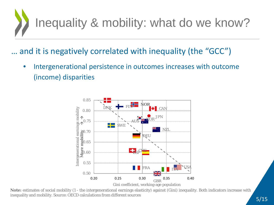

### … and it is negatively correlated with inequality (the "GCC")

• Intergenerational persistence in outcomes increases with outcome (income) disparities



**Note:** estimates of social mobility (1 - the intergenerational earnings elasticity) against (Gini) inequality. Both indicators increase with inequality and mobility. Source: OECD calculations from different sources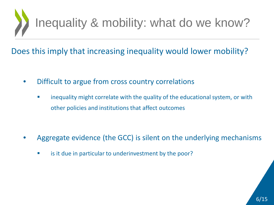

Does this imply that increasing inequality would lower mobility?

- Difficult to argue from cross country correlations
	- **EXTED FIGHT** inequality might correlate with the quality of the educational system, or with other policies and institutions that affect outcomes

- Aggregate evidence (the GCC) is silent on the underlying mechanisms
	- **EXECT** is it due in particular to underinvestment by the poor?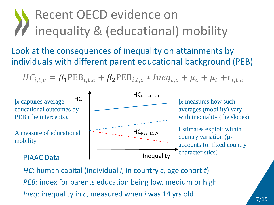### Recent OECD evidence on inequality & (educational) mobility

### Look at the consequences of inequality on attainments by individuals with different parent educational background (PEB)

$$
HC_{i,t,c} = \beta_1 PEB_{i,t,c} + \beta_2 PEB_{i,t,c} * Ineq_{t,c} + \mu_c + \mu_t + \epsilon_{i,t,c}
$$



*HC:* human capital (individual *i*, in country *c*, age cohort *t*) *PEB*: index for parents education being low, medium or high *Ineq*: inequality in *c*, measured when *i* was 14 yrs old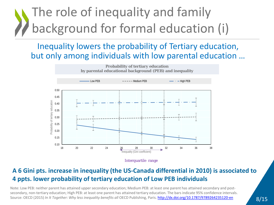### The role of inequality and family background for formal education (i)

Inequality lowers the probability of Tertiary education, but only among individuals with low parental education …



Interquartile range

#### **A 6 Gini pts. increase in inequality (the US-Canada differential in 2010) is associated to 4 ppts. lower probability of tertiary education of Low PEB individuals**

Note: Low PEB: neither parent has attained upper secondary education; Medium PEB: at least one parent has attained secondary and postsecondary, non-tertiary education; High PEB: at least one parent has attained tertiary education. The bars indicate 95% confidence intervals. Source: OECD (2015) *In It Together: Why less inequality benefits all* OECD Publishing, Paris. [http://dx.doi.org/10.1787/9789264235120](http://dx.doi.org/10.1787/9789264235120-en)[-en](http://dx.doi.org/10.1787/9789264235120-en)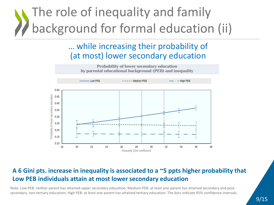### The role of inequality and family background for formal education (ii)

### … while increasing their probability of (at most) lower secondary education



#### **A 6 Gini pts. increase in inequality is associated to a ~5 ppts higher probability that Low PEB individuals attain at most lower secondary education**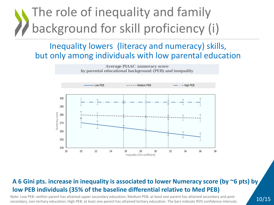### The role of inequality and family background for skill proficiency (i)

#### Inequality lowers (literacy and numeracy) skills, but only among individuals with low parental education



#### **A 6 Gini pts. increase in inequality is associated to lower Numeracy score (by ~6 pts) by low PEB individuals (35% of the baseline differential relative to Med PEB)**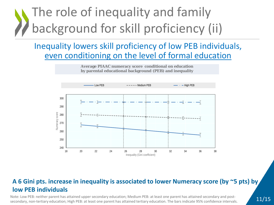### The role of inequality and family background for skill proficiency (ii)

### Inequality lowers skill proficiency of low PEB individuals, even conditioning on the level of formal education

**Average PIAAC numeracy score conditional on education by parental educational background (PEB) and inequality**



#### **A 6 Gini pts. increase in inequality is associated to lower Numeracy score (by ~5 pts) by low PEB individuals**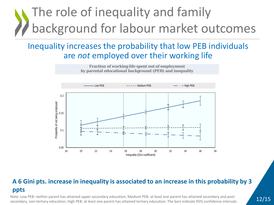### The role of inequality and family background for labour market outcomes

#### Inequality increases the probability that low PEB individuals are *not* employed over their working life



#### **A 6 Gini pts. increase in inequality is associated to an increase in this probability by 3 ppts**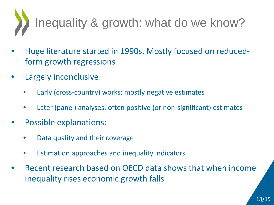# Inequality & growth: what do we know?

- Huge literature started in 1990s. Mostly focused on reducedform growth regressions
- Largely inconclusive:
	- Early (cross-country) works: mostly negative estimates
	- Later (panel) analyses: often positive (or non-significant) estimates
- Possible explanations:
	- Data quality and their coverage
	- Estimation approaches and inequality indicators
- Recent research based on OECD data shows that when income inequality rises economic growth falls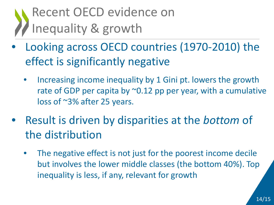### Recent OECD evidence on Inequality & growth

- Looking across OECD countries (1970-2010) the effect is significantly negative
	- Increasing income inequality by 1 Gini pt. lowers the growth rate of GDP per capita by  $\sim$ 0.12 pp per year, with a cumulative loss of ~3% after 25 years.
- Result is driven by disparities at the *bottom* of the distribution
	- The negative effect is not just for the poorest income decile but involves the lower middle classes (the bottom 40%). Top inequality is less, if any, relevant for growth